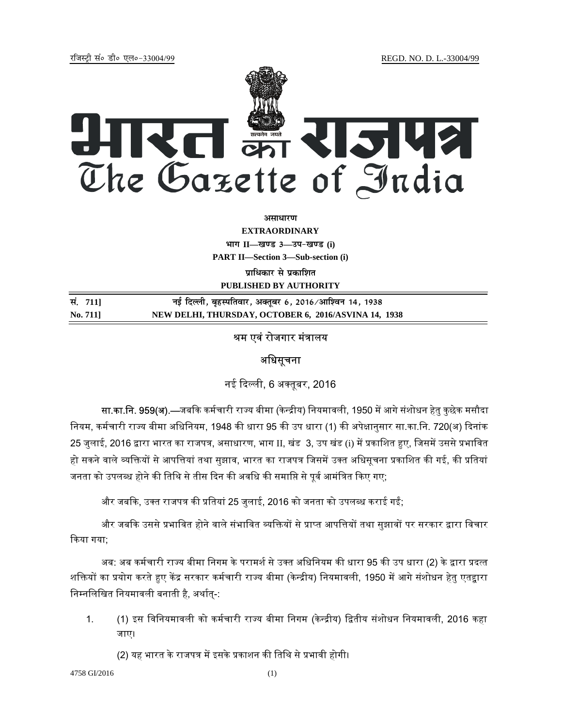jftLVªh laö Mhö ,yö&33004@99 REGD. NO. D. L.-33004/99



असाधार**ण** 

**EXTRAORDINARY Hkkx II—[k.M 3—mi&[k.M (i) PART II—Section 3—Sub-section (i) प्राधिकार से प्रकाशित PUBLISHED BY AUTHORITY**

| सं. 711] | नई दिल्ली, बृहस्पतिवार, अक्तूबर 6, 2016/आश्विन 14, 1938 |
|----------|---------------------------------------------------------|
| No. 711  | NEW DELHI, THURSDAY, OCTOBER 6, 2016/ASVINA 14, 1938    |

## श्रम एवं रोजगार मंत्रालय

## अधिसूचना

नई दिल्ली, 6 अक्तूबर, 2016

सा.का.नि. 959(अ).—जबकि कर्मचारी राज्य बीमा (केन्द्रीय) नियमावली, 1950 में आगे संशोधन हेतु कुछेक मसौदा नियम, कर्मचारी राज्य बीमा अधिनियम, 1948 की धारा 95 की उप धारा (1) की अपेक्षानुसार सा.का.नि. 720(अ) दिनांक 25 जुलाई, 2016 द्वारा भारत का राजपत्र, असाधारण, भाग II, खंड 3, उप खंड (i) में प्रकाशित हुए, जिसमें उससे प्रभावित हो सकने वाले व्यक्तियों से आपत्तियां तथा सुझाव, भारत का राजपत्र जिसमें उक्त अधिसूचना प्रकाशित की गई, की प्रतियां जनता को उपलब्ध होने की तिथि से तीस दिन की अवधि की समाप्ति से पूर्व आमंत्रित किए गए;

और जबकि, उक्त राजपत्र की प्रतियां 25 जुलाई, 2016 को जनता को उपलब्ध कराई गईं;

और जबकि उससे प्रभावित होने वाले संभावित व्यक्तियों से प्राप्त आपत्तियों तथा सुझावों पर सरकार द्वारा विचार ᳰकया गया;

अब: अब कर्मचारी राज्य बीमा निगम के परामर्श से उक्त अधिनियम की धारा 95 की उप धारा (2) के द्वारा प्रदत्त शक्तियों का प्रयोग करते हुए केंद्र सरकार कर्मचारी राज्य बीमा (केन्द्रीय) नियमावली, 1950 में आगे संशोधन हेतु एतद्वारा निम्नलिखित नियमावली बनाती है, अर्थात्-:

1. (1) इस विनियमावली को कर्मचारी राज्य बीमा निगम (केन्द्रीय) द्वितीय संशोधन नियमावली, 2016 कहा जाए।

(2) यह भारत के राजपत्र में इसके प्रकाशन की तिथि से प्रभावी होगी।

4758 GI/2016 (1)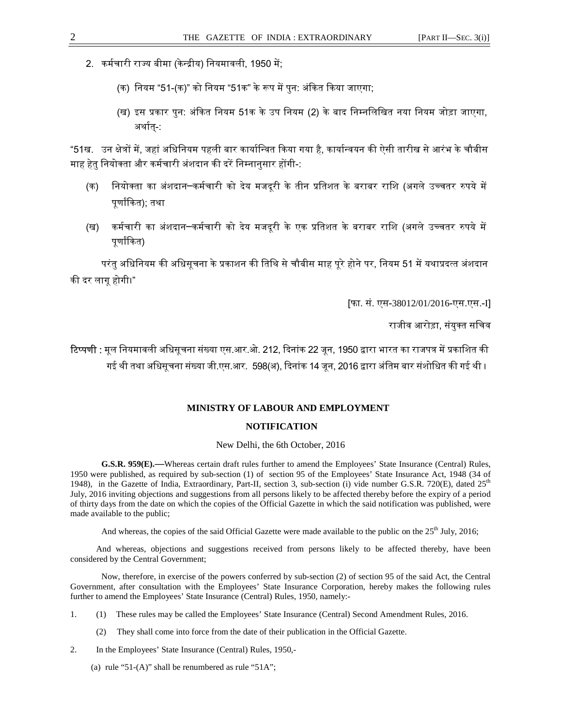- 2. कर्मचारी राज्य बीमा (केन्द्रीय) नियमावली, 1950 में:
	- (क) नियम "51-(क)" को नियम "51क" के रूप में पुन: अंकित किया जाएगा;
	- (ख) इस प्रकार पुन: अंकित नियम 51क के उप नियम (2) के बाद निम्नलिखित नया नियम जोड़ा जाएगा, अर्थात-:

"51ख. उन क्षेत्रों में, जहां अधिनियम पहली बार कार्यान्वित किया गया है, कार्यान्वयन की ऐसी तारीख से आरंभ के चौबीस माह हेतु नियोक्ता और कर्मचारी अंशदान की दरें निम्नानुसार होंगी-:

- (क) नियोक्ता का अंशदान─कर्मचारी को देय मजदूरी के तीन प्रतिशत के बराबर राशि (अगले उच्चतर रुपये में पुर्णांकित); तथा
- (ख) कर्मचारी का अंशदान─कर्मचारी को देय मजदूरी के एक प्रतिशत के बराबर राशि (अगले उच्चतर रुपये में पूर्णाकित)

परंतु अधिनियम की अधिसूचना के प्रकाशन की तिथि से चौबीस माह पुरे होने पर, नियम 51 में यथाप्रदत्त अंशदान की दर लाग होगी।"

[फा. सं. एस-38012/01/2016-एस.एस.-I]

राजीव आरोड़ा, संयुक्त सचिव

**टिप्पणी :** मूल नियमावली अधिसूचना संख्या एस.आर.ओ. 212, दिनांक 22 जून, 1950 द्वारा भारत का राजपत्र में प्रकाशित की गई थी तथा अधिसूचना संख्या जी.एस.आर. 598(अ), दिनांक 14 जून, 2016 द्वारा अंतिम बार संशोधित की गई थी ।

## **MINISTRY OF LABOUR AND EMPLOYMENT**

## **NOTIFICATION**

New Delhi, the 6th October, 2016

**G.S.R. 959(E).—**Whereas certain draft rules further to amend the Employees' State Insurance (Central) Rules, 1950 were published, as required by sub-section (1) of section 95 of the Employees' State Insurance Act, 1948 (34 of 1948), in the Gazette of India, Extraordinary, Part-II, section 3, sub-section (i) vide number G.S.R. 720(E), dated 25<sup>th</sup> July, 2016 inviting objections and suggestions from all persons likely to be affected thereby before the expiry of a period of thirty days from the date on which the copies of the Official Gazette in which the said notification was published, were made available to the public;

And whereas, the copies of the said Official Gazette were made available to the public on the 25<sup>th</sup> July, 2016;

And whereas, objections and suggestions received from persons likely to be affected thereby, have been considered by the Central Government;

Now, therefore, in exercise of the powers conferred by sub-section (2) of section 95 of the said Act, the Central Government, after consultation with the Employees' State Insurance Corporation, hereby makes the following rules further to amend the Employees' State Insurance (Central) Rules, 1950, namely:-

- 1. (1) These rules may be called the Employees' State Insurance (Central) Second Amendment Rules, 2016.
	- They shall come into force from the date of their publication in the Official Gazette.
- 2. In the Employees' State Insurance (Central) Rules, 1950,-
	- (a) rule "51- $(A)$ " shall be renumbered as rule "51 $A$ ";